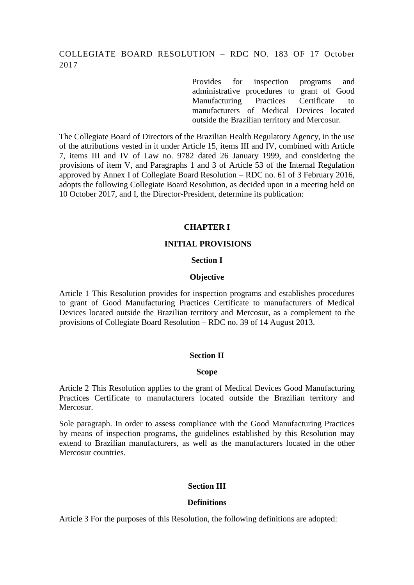# COLLEGIATE BOARD RESOLUTION – RDC NO. 183 OF 17 October 2017

Provides for inspection programs and administrative procedures to grant of Good Manufacturing Practices Certificate to manufacturers of Medical Devices located outside the Brazilian territory and Mercosur.

The Collegiate Board of Directors of the Brazilian Health Regulatory Agency, in the use of the attributions vested in it under Article 15, items III and IV, combined with Article 7, items III and IV of Law no. 9782 dated 26 January 1999, and considering the provisions of item V, and Paragraphs 1 and 3 of Article 53 of the Internal Regulation approved by Annex I of Collegiate Board Resolution – RDC no. 61 of 3 February 2016, adopts the following Collegiate Board Resolution, as decided upon in a meeting held on 10 October 2017, and I, the Director-President, determine its publication:

#### **CHAPTER I**

#### **INITIAL PROVISIONS**

#### **Section I**

#### **Objective**

Article 1 This Resolution provides for inspection programs and establishes procedures to grant of Good Manufacturing Practices Certificate to manufacturers of Medical Devices located outside the Brazilian territory and Mercosur, as a complement to the provisions of Collegiate Board Resolution – RDC no. 39 of 14 August 2013.

#### **Section II**

#### **Scope**

Article 2 This Resolution applies to the grant of Medical Devices Good Manufacturing Practices Certificate to manufacturers located outside the Brazilian territory and Mercosur.

Sole paragraph. In order to assess compliance with the Good Manufacturing Practices by means of inspection programs, the guidelines established by this Resolution may extend to Brazilian manufacturers, as well as the manufacturers located in the other Mercosur countries.

### **Section III**

#### **Definitions**

Article 3 For the purposes of this Resolution, the following definitions are adopted: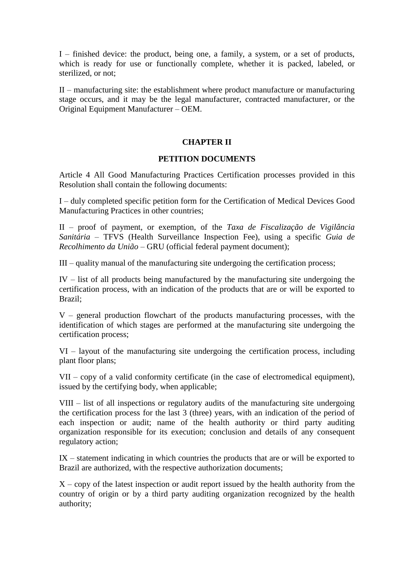I – finished device: the product, being one, a family, a system, or a set of products, which is ready for use or functionally complete, whether it is packed, labeled, or sterilized, or not;

II – manufacturing site: the establishment where product manufacture or manufacturing stage occurs, and it may be the legal manufacturer, contracted manufacturer, or the Original Equipment Manufacturer – OEM.

### **CHAPTER II**

#### **PETITION DOCUMENTS**

Article 4 All Good Manufacturing Practices Certification processes provided in this Resolution shall contain the following documents:

I – duly completed specific petition form for the Certification of Medical Devices Good Manufacturing Practices in other countries;

II – proof of payment, or exemption, of the *Taxa de Fiscalização de Vigilância Sanitária –* TFVS (Health Surveillance Inspection Fee), using a specific *Guia de Recolhimento da União –* GRU (official federal payment document);

III – quality manual of the manufacturing site undergoing the certification process;

IV – list of all products being manufactured by the manufacturing site undergoing the certification process, with an indication of the products that are or will be exported to Brazil;

V – general production flowchart of the products manufacturing processes, with the identification of which stages are performed at the manufacturing site undergoing the certification process;

VI – layout of the manufacturing site undergoing the certification process, including plant floor plans;

VII – copy of a valid conformity certificate (in the case of electromedical equipment), issued by the certifying body, when applicable;

VIII – list of all inspections or regulatory audits of the manufacturing site undergoing the certification process for the last 3 (three) years, with an indication of the period of each inspection or audit; name of the health authority or third party auditing organization responsible for its execution; conclusion and details of any consequent regulatory action;

IX – statement indicating in which countries the products that are or will be exported to Brazil are authorized, with the respective authorization documents;

 $X - copy$  of the latest inspection or audit report issued by the health authority from the country of origin or by a third party auditing organization recognized by the health authority;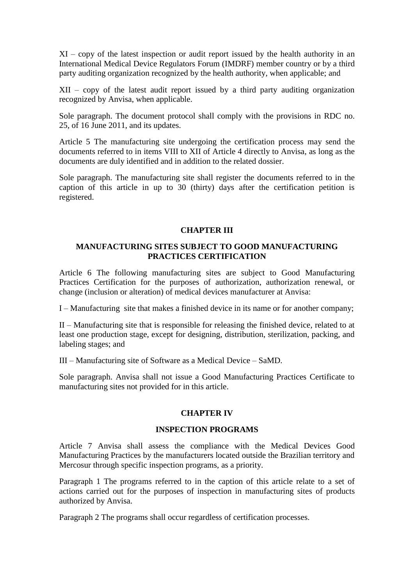XI – copy of the latest inspection or audit report issued by the health authority in an International Medical Device Regulators Forum (IMDRF) member country or by a third party auditing organization recognized by the health authority, when applicable; and

XII – copy of the latest audit report issued by a third party auditing organization recognized by Anvisa, when applicable.

Sole paragraph. The document protocol shall comply with the provisions in RDC no. 25, of 16 June 2011, and its updates.

Article 5 The manufacturing site undergoing the certification process may send the documents referred to in items VIII to XII of Article 4 directly to Anvisa, as long as the documents are duly identified and in addition to the related dossier.

Sole paragraph. The manufacturing site shall register the documents referred to in the caption of this article in up to 30 (thirty) days after the certification petition is registered.

### **CHAPTER III**

### **MANUFACTURING SITES SUBJECT TO GOOD MANUFACTURING PRACTICES CERTIFICATION**

Article 6 The following manufacturing sites are subject to Good Manufacturing Practices Certification for the purposes of authorization, authorization renewal, or change (inclusion or alteration) of medical devices manufacturer at Anvisa:

I – Manufacturing site that makes a finished device in its name or for another company;

II – Manufacturing site that is responsible for releasing the finished device, related to at least one production stage, except for designing, distribution, sterilization, packing, and labeling stages; and

III – Manufacturing site of Software as a Medical Device – SaMD.

Sole paragraph. Anvisa shall not issue a Good Manufacturing Practices Certificate to manufacturing sites not provided for in this article.

## **CHAPTER IV**

### **INSPECTION PROGRAMS**

Article 7 Anvisa shall assess the compliance with the Medical Devices Good Manufacturing Practices by the manufacturers located outside the Brazilian territory and Mercosur through specific inspection programs, as a priority.

Paragraph 1 The programs referred to in the caption of this article relate to a set of actions carried out for the purposes of inspection in manufacturing sites of products authorized by Anvisa.

Paragraph 2 The programs shall occur regardless of certification processes.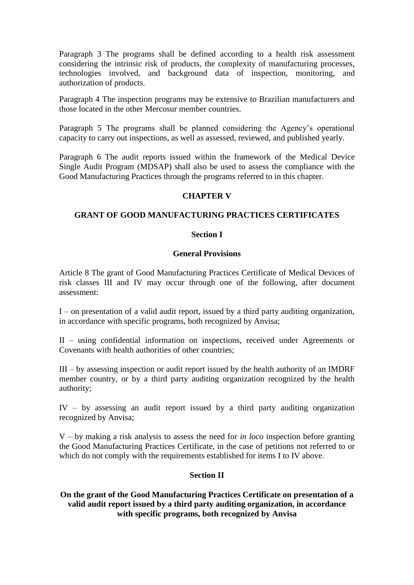Paragraph 3 The programs shall be defined according to a health risk assessment considering the intrinsic risk of products, the complexity of manufacturing processes, technologies involved, and background data of inspection, monitoring, and authorization of products.

Paragraph 4 The inspection programs may be extensive to Brazilian manufacturers and those located in the other Mercosur member countries.

Paragraph 5 The programs shall be planned considering the Agency's operational capacity to carry out inspections, as well as assessed, reviewed, and published yearly.

Paragraph 6 The audit reports issued within the framework of the Medical Device Single Audit Program (MDSAP) shall also be used to assess the compliance with the Good Manufacturing Practices through the programs referred to in this chapter.

## **CHAPTER V**

### **GRANT OF GOOD MANUFACTURING PRACTICES CERTIFICATES**

#### **Section I**

#### **General Provisions**

Article 8 The grant of Good Manufacturing Practices Certificate of Medical Devices of risk classes III and IV may occur through one of the following, after document assessment:

I – on presentation of a valid audit report, issued by a third party auditing organization, in accordance with specific programs, both recognized by Anvisa;

II – using confidential information on inspections, received under Agreements or Covenants with health authorities of other countries;

III – by assessing inspection or audit report issued by the health authority of an IMDRF member country, or by a third party auditing organization recognized by the health authority;

IV – by assessing an audit report issued by a third party auditing organization recognized by Anvisa;

V – by making a risk analysis to assess the need for *in loco* inspection before granting the Good Manufacturing Practices Certificate, in the case of petitions not referred to or which do not comply with the requirements established for items I to IV above.

#### **Section II**

**On the grant of the Good Manufacturing Practices Certificate on presentation of a valid audit report issued by a third party auditing organization, in accordance with specific programs, both recognized by Anvisa**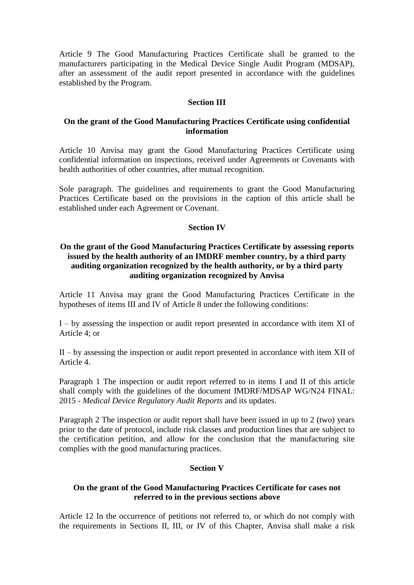Article 9 The Good Manufacturing Practices Certificate shall be granted to the manufacturers participating in the Medical Device Single Audit Program (MDSAP), after an assessment of the audit report presented in accordance with the guidelines established by the Program.

### **Section III**

#### **On the grant of the Good Manufacturing Practices Certificate using confidential information**

Article 10 Anvisa may grant the Good Manufacturing Practices Certificate using confidential information on inspections, received under Agreements or Covenants with health authorities of other countries, after mutual recognition.

Sole paragraph. The guidelines and requirements to grant the Good Manufacturing Practices Certificate based on the provisions in the caption of this article shall be established under each Agreement or Covenant.

#### **Section IV**

### **On the grant of the Good Manufacturing Practices Certificate by assessing reports issued by the health authority of an IMDRF member country, by a third party auditing organization recognized by the health authority, or by a third party auditing organization recognized by Anvisa**

Article 11 Anvisa may grant the Good Manufacturing Practices Certificate in the hypotheses of items III and IV of Article 8 under the following conditions:

I – by assessing the inspection or audit report presented in accordance with item XI of Article 4; or

II – by assessing the inspection or audit report presented in accordance with item XII of Article 4.

Paragraph 1 The inspection or audit report referred to in items I and II of this article shall comply with the guidelines of the document IMDRF/MDSAP WG/N24 FINAL: 2015 - *Medical Device Regulatory Audit Reports* and its updates.

Paragraph 2 The inspection or audit report shall have been issued in up to 2 (two) years prior to the date of protocol, include risk classes and production lines that are subject to the certification petition, and allow for the conclusion that the manufacturing site complies with the good manufacturing practices.

#### **Section V**

### **On the grant of the Good Manufacturing Practices Certificate for cases not referred to in the previous sections above**

Article 12 In the occurrence of petitions not referred to, or which do not comply with the requirements in Sections II, III, or IV of this Chapter, Anvisa shall make a risk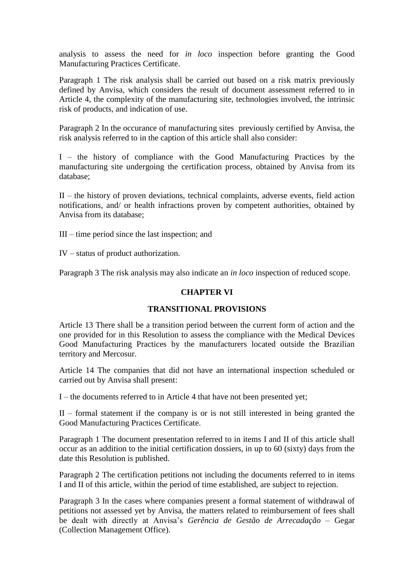analysis to assess the need for *in loco* inspection before granting the Good Manufacturing Practices Certificate.

Paragraph 1 The risk analysis shall be carried out based on a risk matrix previously defined by Anvisa, which considers the result of document assessment referred to in Article 4, the complexity of the manufacturing site, technologies involved, the intrinsic risk of products, and indication of use.

Paragraph 2 In the occurance of manufacturing sites previously certified by Anvisa, the risk analysis referred to in the caption of this article shall also consider:

I – the history of compliance with the Good Manufacturing Practices by the manufacturing site undergoing the certification process, obtained by Anvisa from its database;

II – the history of proven deviations, technical complaints, adverse events, field action notifications, and/ or health infractions proven by competent authorities, obtained by Anvisa from its database;

III – time period since the last inspection; and

IV – status of product authorization.

Paragraph 3 The risk analysis may also indicate an *in loco* inspection of reduced scope.

### **CHAPTER VI**

## **TRANSITIONAL PROVISIONS**

Article 13 There shall be a transition period between the current form of action and the one provided for in this Resolution to assess the compliance with the Medical Devices Good Manufacturing Practices by the manufacturers located outside the Brazilian territory and Mercosur.

Article 14 The companies that did not have an international inspection scheduled or carried out by Anvisa shall present:

I – the documents referred to in Article 4 that have not been presented yet;

II – formal statement if the company is or is not still interested in being granted the Good Manufacturing Practices Certificate.

Paragraph 1 The document presentation referred to in items I and II of this article shall occur as an addition to the initial certification dossiers, in up to 60 (sixty) days from the date this Resolution is published.

Paragraph 2 The certification petitions not including the documents referred to in items I and II of this article, within the period of time established, are subject to rejection.

Paragraph 3 In the cases where companies present a formal statement of withdrawal of petitions not assessed yet by Anvisa, the matters related to reimbursement of fees shall be dealt with directly at Anvisa's *Gerência de Gestão de Arrecadação* – Gegar (Collection Management Office).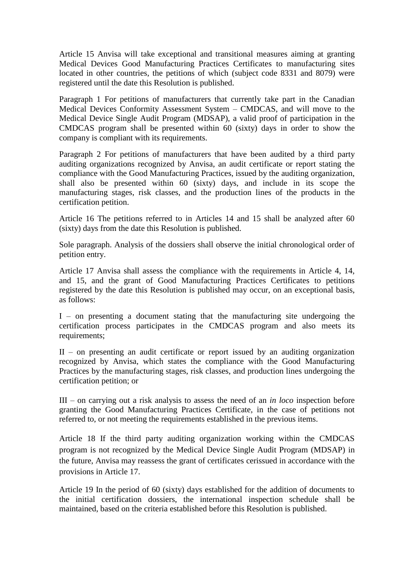Article 15 Anvisa will take exceptional and transitional measures aiming at granting Medical Devices Good Manufacturing Practices Certificates to manufacturing sites located in other countries, the petitions of which (subject code 8331 and 8079) were registered until the date this Resolution is published.

Paragraph 1 For petitions of manufacturers that currently take part in the Canadian Medical Devices Conformity Assessment System – CMDCAS, and will move to the Medical Device Single Audit Program (MDSAP), a valid proof of participation in the CMDCAS program shall be presented within 60 (sixty) days in order to show the company is compliant with its requirements.

Paragraph 2 For petitions of manufacturers that have been audited by a third party auditing organizations recognized by Anvisa, an audit certificate or report stating the compliance with the Good Manufacturing Practices, issued by the auditing organization, shall also be presented within 60 (sixty) days, and include in its scope the manufacturing stages, risk classes, and the production lines of the products in the certification petition.

Article 16 The petitions referred to in Articles 14 and 15 shall be analyzed after 60 (sixty) days from the date this Resolution is published.

Sole paragraph. Analysis of the dossiers shall observe the initial chronological order of petition entry.

Article 17 Anvisa shall assess the compliance with the requirements in Article 4, 14, and 15, and the grant of Good Manufacturing Practices Certificates to petitions registered by the date this Resolution is published may occur, on an exceptional basis, as follows:

I – on presenting a document stating that the manufacturing site undergoing the certification process participates in the CMDCAS program and also meets its requirements:

 $II$  – on presenting an audit certificate or report issued by an auditing organization recognized by Anvisa, which states the compliance with the Good Manufacturing Practices by the manufacturing stages, risk classes, and production lines undergoing the certification petition; or

III – on carrying out a risk analysis to assess the need of an *in loco* inspection before granting the Good Manufacturing Practices Certificate, in the case of petitions not referred to, or not meeting the requirements established in the previous items.

Article 18 If the third party auditing organization working within the CMDCAS program is not recognized by the Medical Device Single Audit Program (MDSAP) in the future, Anvisa may reassess the grant of certificates cerissued in accordance with the provisions in Article 17.

Article 19 In the period of 60 (sixty) days established for the addition of documents to the initial certification dossiers, the international inspection schedule shall be maintained, based on the criteria established before this Resolution is published.